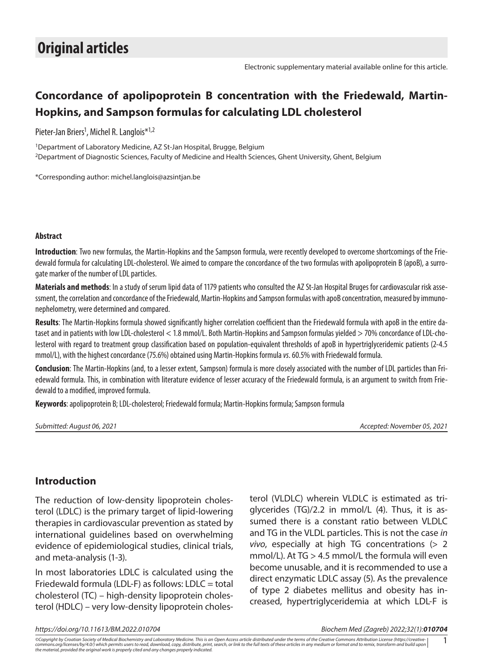# **Concordance of apolipoprotein B concentration with the Friedewald, Martin-Hopkins, and Sampson formulas for calculating LDL cholesterol**

Pieter-Jan Briers<sup>1</sup>, Michel R. Langlois\*<sup>1,2</sup>

1Department of Laboratory Medicine, AZ St-Jan Hospital, Brugge, Belgium 2Department of Diagnostic Sciences, Faculty of Medicine and Health Sciences, Ghent University, Ghent, Belgium

\*Corresponding author: [michel.langlois@azsintjan.be](mailto:michel.langlois@azsintjan.be)

#### **Abstract**

**Introduction**: Two new formulas, the Martin-Hopkins and the Sampson formula, were recently developed to overcome shortcomings of the Friedewald formula for calculating LDL-cholesterol. We aimed to compare the concordance of the two formulas with apolipoprotein B (apoB), a surrogate marker of the number of LDL particles.

**Materials and methods**: In a study of serum lipid data of 1179 patients who consulted the AZ St-Jan Hospital Bruges for cardiovascular risk assessment, the correlation and concordance of the Friedewald, Martin-Hopkins and Sampson formulas with apoB concentration, measured by immunonephelometry, were determined and compared.

**Results**: The Martin-Hopkins formula showed significantly higher correlation coefficient than the Friedewald formula with apoB in the entire dataset and in patients with low LDL-cholesterol < 1.8 mmol/L. Both Martin-Hopkins and Sampson formulas yielded > 70% concordance of LDL-cholesterol with regard to treatment group classification based on population-equivalent thresholds of apoB in hypertriglyceridemic patients (2-4.5 mmol/L), with the highest concordance (75.6%) obtained using Martin-Hopkins formula *vs*. 60.5% with Friedewald formula.

**Conclusion**: The Martin-Hopkins (and, to a lesser extent, Sampson) formula is more closely associated with the number of LDL particles than Friedewald formula. This, in combination with literature evidence of lesser accuracy of the Friedewald formula, is an argument to switch from Friedewald to a modified, improved formula.

**Keywords**: apolipoprotein B; LDL-cholesterol; Friedewald formula; Martin-Hopkins formula; Sampson formula

*Submitted: August 06, 2021 Accepted: November 05, 2021*

#### **Introduction**

The reduction of low-density lipoprotein cholesterol (LDLC) is the primary target of lipid-lowering therapies in cardiovascular prevention as stated by international guidelines based on overwhelming evidence of epidemiological studies, clinical trials, and meta-analysis (1-3).

In most laboratories LDLC is calculated using the Friedewald formula (LDL-F) as follows: LDLC = total cholesterol (TC) – high-density lipoprotein cholesterol (HDLC) – very low-density lipoprotein cholesterol (VLDLC) wherein VLDLC is estimated as triglycerides (TG)/2.2 in mmol/L (4). Thus, it is assumed there is a constant ratio between VLDLC and TG in the VLDL particles. This is not the case *in vivo*, especially at high TG concentrations (> 2 mmol/L). At TG > 4.5 mmol/L the formula will even become unusable, and it is recommended to use a direct enzymatic LDLC assay (5). As the prevalence of type 2 diabetes mellitus and obesity has increased, hypertriglyceridemia at which LDL-F is

*https://doi.org/10.11613/BM.2022.010704 Biochem Med (Zagreb) 2022;32(1):010704*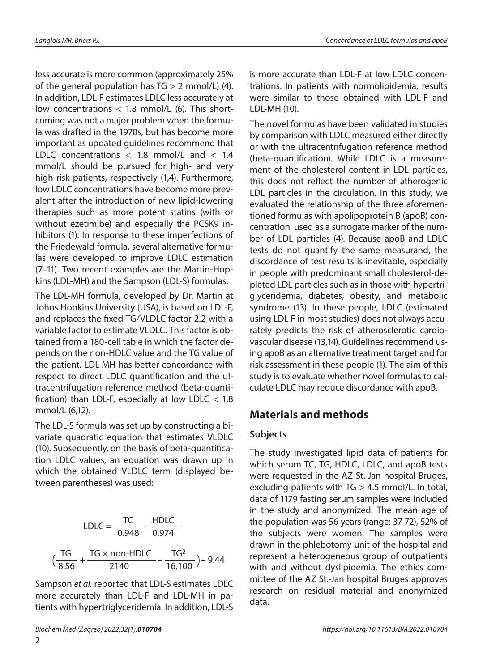less accurate is more common (approximately 25% of the general population has  $TG > 2$  mmol/L) (4). In addition, LDL-F estimates LDLC less accurately at low concentrations < 1.8 mmol/L (6). This shortcoming was not a major problem when the formula was drafted in the 1970s, but has become more important as updated guidelines recommend that LDLC concentrations < 1.8 mmol/L and < 1.4 mmol/L should be pursued for high- and very high-risk patients, respectively (1,4). Furthermore, low LDLC concentrations have become more prevalent after the introduction of new lipid-lowering therapies such as more potent statins (with or without ezetimibe) and especially the PCSK9 inhibitors (1). In response to these imperfections of the Friedewald formula, several alternative formulas were developed to improve LDLC estimation (7–11). Two recent examples are the Martin-Hopkins (LDL-MH) and the Sampson (LDL-S) formulas.

The LDL-MH formula, developed by Dr. Martin at Johns Hopkins University (USA), is based on LDL-F, and replaces the fixed TG/VLDLC factor 2.2 with a variable factor to estimate VLDLC. This factor is obtained from a 180-cell table in which the factor depends on the non-HDLC value and the TG value of the patient. LDL-MH has better concordance with respect to direct LDLC quantification and the ultracentrifugation reference method (beta-quantification) than LDL-F, especially at low LDLC  $<$  1.8 mmol/L (6,12).

The LDL-S formula was set up by constructing a bivariate quadratic equation that estimates VLDLC (10). Subsequently, on the basis of beta-quantification LDLC values, an equation was drawn up in which the obtained VLDLC term (displayed between parentheses) was used:

LDLC = 
$$
\frac{TC}{0.948} - \frac{HDLC}{0.974} -
$$
  

$$
(\frac{TG}{8.56} + \frac{TG \times non-HDLC}{2140} - \frac{TG^2}{16,100}) - 9.44
$$

Sampson *et al.* reported that LDL-S estimates LDLC more accurately than LDL-F and LDL-MH in patients with hypertriglyceridemia. In addition, LDL-S is more accurate than LDL-F at low LDLC concentrations. In patients with normolipidemia, results were similar to those obtained with LDL-F and LDL-MH (10).

The novel formulas have been validated in studies by comparison with LDLC measured either directly or with the ultracentrifugation reference method (beta-quantification). While LDLC is a measurement of the cholesterol content in LDL particles, this does not reflect the number of atherogenic LDL particles in the circulation. In this study, we evaluated the relationship of the three aforementioned formulas with apolipoprotein B (apoB) concentration, used as a surrogate marker of the number of LDL particles (4). Because apoB and LDLC tests do not quantify the same measurand, the discordance of test results is inevitable, especially in people with predominant small cholesterol-depleted LDL particles such as in those with hypertriglyceridemia, diabetes, obesity, and metabolic syndrome (13). In these people, LDLC (estimated using LDL-F in most studies) does not always accurately predicts the risk of atherosclerotic cardiovascular disease (13,14). Guidelines recommend using apoB as an alternative treatment target and for risk assessment in these people (1). The aim of this study is to evaluate whether novel formulas to calculate LDLC may reduce discordance with apoB.

## **Materials and methods**

### **Subjects**

The study investigated lipid data of patients for which serum TC, TG, HDLC, LDLC, and apoB tests were requested in the AZ St.-Jan hospital Bruges, excluding patients with TG > 4.5 mmol/L. In total, data of 1179 fasting serum samples were included in the study and anonymized. The mean age of the population was 56 years (range: 37-72), 52% of  $\frac{TC}{0.948} - \frac{HDLC}{0.974} - \frac{1}{2}$  the population was 56 years (range: 37-72), 52% of drawn in the phlebotomy unit of the hospital and represent a heterogeneous group of outpatients with and without dyslipidemia. The ethics committee of the AZ St.-Jan hospital Bruges approves research on residual material and anonymized data.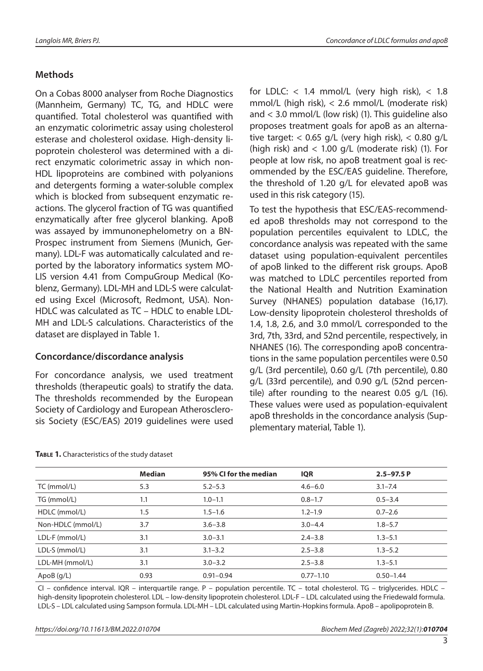#### **Methods**

On a Cobas 8000 analyser from Roche Diagnostics (Mannheim, Germany) TC, TG, and HDLC were quantified. Total cholesterol was quantified with an enzymatic colorimetric assay using cholesterol esterase and cholesterol oxidase. High-density lipoprotein cholesterol was determined with a direct enzymatic colorimetric assay in which non-HDL lipoproteins are combined with polyanions and detergents forming a water-soluble complex which is blocked from subsequent enzymatic reactions. The glycerol fraction of TG was quantified enzymatically after free glycerol blanking. ApoB was assayed by immunonephelometry on a BN-Prospec instrument from Siemens (Munich, Germany). LDL-F was automatically calculated and reported by the laboratory informatics system MO-LIS version 4.41 from CompuGroup Medical (Koblenz, Germany). LDL-MH and LDL-S were calculated using Excel (Microsoft, Redmont, USA). Non-HDLC was calculated as TC – HDLC to enable LDL-MH and LDL-S calculations. Characteristics of the dataset are displayed in Table 1.

#### **Concordance/discordance analysis**

For concordance analysis, we used treatment thresholds (therapeutic goals) to stratify the data. The thresholds recommended by the European Society of Cardiology and European Atherosclerosis Society (ESC/EAS) 2019 guidelines were used

for LDLC:  $<$  1.4 mmol/L (very high risk),  $<$  1.8 mmol/L (high risk), < 2.6 mmol/L (moderate risk) and < 3.0 mmol/L (low risk) (1). This guideline also proposes treatment goals for apoB as an alternative target:  $<$  0.65 g/L (very high risk),  $<$  0.80 g/L (high risk) and < 1.00 g/L (moderate risk) (1). For people at low risk, no apoB treatment goal is recommended by the ESC/EAS guideline. Therefore, the threshold of 1.20 g/L for elevated apoB was used in this risk category (15).

To test the hypothesis that ESC/EAS-recommended apoB thresholds may not correspond to the population percentiles equivalent to LDLC, the concordance analysis was repeated with the same dataset using population-equivalent percentiles of apoB linked to the different risk groups. ApoB was matched to LDLC percentiles reported from the National Health and Nutrition Examination Survey (NHANES) population database (16,17). Low-density lipoprotein cholesterol thresholds of 1.4, 1.8, 2.6, and 3.0 mmol/L corresponded to the 3rd, 7th, 33rd, and 52nd percentile, respectively, in NHANES (16). The corresponding apoB concentrations in the same population percentiles were 0.50 g/L (3rd percentile), 0.60 g/L (7th percentile), 0.80 g/L (33rd percentile), and 0.90 g/L (52nd percentile) after rounding to the nearest 0.05 g/L (16). These values were used as population-equivalent apoB thresholds in the concordance analysis [\(Sup](https://www.biochemia-medica.com/assets/images/upload/Clanci/31/Supplementary_files/32_1/BM32_1_010704_Supplementary_material.pdf)[plementary material, Table 1](https://www.biochemia-medica.com/assets/images/upload/Clanci/31/Supplementary_files/32_1/BM32_1_010704_Supplementary_material.pdf)).

|                   | <b>Median</b> | 95% CI for the median | <b>IQR</b>    | $2.5 - 97.5 P$ |
|-------------------|---------------|-----------------------|---------------|----------------|
| TC (mmol/L)       | 5.3           | $5.2 - 5.3$           | $4.6 - 6.0$   | $3.1 - 7.4$    |
| TG (mmol/L)       | 1.1           | $1.0 - 1.1$           | $0.8 - 1.7$   | $0.5 - 3.4$    |
| HDLC (mmol/L)     | 1.5           | $1.5 - 1.6$           | $1.2 - 1.9$   | $0.7 - 2.6$    |
| Non-HDLC (mmol/L) | 3.7           | $3.6 - 3.8$           | $3.0 - 4.4$   | $1.8 - 5.7$    |
| LDL-F (mmol/L)    | 3.1           | $3.0 - 3.1$           | $2.4 - 3.8$   | $1.3 - 5.1$    |
| LDL-S (mmol/L)    | 3.1           | $3.1 - 3.2$           | $2.5 - 3.8$   | $1.3 - 5.2$    |
| LDL-MH (mmol/L)   | 3.1           | $3.0 - 3.2$           | $2.5 - 3.8$   | $1.3 - 5.1$    |
| ApoB $(q/L)$      | 0.93          | $0.91 - 0.94$         | $0.77 - 1.10$ | $0.50 - 1.44$  |

**Table 1.** Characteristics of the study dataset

CI – confidence interval. IQR – interquartile range. P – population percentile. TC – total cholesterol. TG – triglycerides. HDLC – high-density lipoprotein cholesterol. LDL – low-density lipoprotein cholesterol. LDL-F – LDL calculated using the Friedewald formula. LDL-S – LDL calculated using Sampson formula. LDL-MH – LDL calculated using Martin-Hopkins formula. ApoB – apolipoprotein B.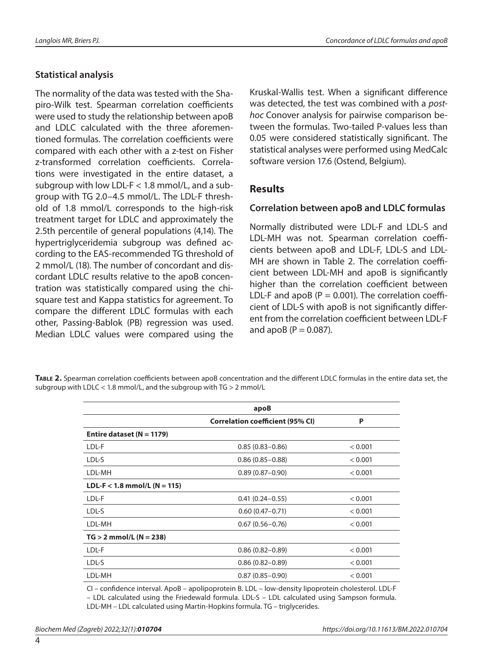### **Statistical analysis**

The normality of the data was tested with the Shapiro-Wilk test. Spearman correlation coefficients were used to study the relationship between apoB and LDLC calculated with the three aforementioned formulas. The correlation coefficients were compared with each other with a z-test on Fisher z-transformed correlation coefficients. Correlations were investigated in the entire dataset, a subgroup with low LDL- $F < 1.8$  mmol/L, and a subgroup with TG 2.0–4.5 mmol/L. The LDL-F threshold of 1.8 mmol/L corresponds to the high-risk treatment target for LDLC and approximately the 2.5th percentile of general populations (4,14). The hypertriglyceridemia subgroup was defined according to the EAS-recommended TG threshold of 2 mmol/L (18). The number of concordant and discordant LDLC results relative to the apoB concentration was statistically compared using the chisquare test and Kappa statistics for agreement. To compare the different LDLC formulas with each other, Passing-Bablok (PB) regression was used. Median LDLC values were compared using the

Kruskal-Wallis test. When a significant difference was detected, the test was combined with a *posthoc* Conover analysis for pairwise comparison between the formulas. Two-tailed P-values less than 0.05 were considered statistically significant. The statistical analyses were performed using MedCalc software version 17.6 (Ostend, Belgium).

### **Results**

#### **Correlation between apoB and LDLC formulas**

Normally distributed were LDL-F and LDL-S and LDL-MH was not. Spearman correlation coefficients between apoB and LDL-F, LDL-S and LDL-MH are shown in Table 2. The correlation coefficient between LDL-MH and apoB is significantly higher than the correlation coefficient between LDL-F and apoB ( $P = 0.001$ ). The correlation coefficient of LDL-S with apoB is not significantly different from the correlation coefficient between LDL-F and apoB  $(P = 0.087)$ .

**Table 2.** Spearman correlation coefficients between apoB concentration and the different LDLC formulas in the entire data set, the subgroup with LDLC  $< 1.8$  mmol/L, and the subgroup with  $TG > 2$  mmol/L

|                                | apoB                                    |         |
|--------------------------------|-----------------------------------------|---------|
|                                | <b>Correlation coefficient (95% CI)</b> | P       |
| Entire dataset ( $N = 1179$ )  |                                         |         |
| LDL-F                          | $0.85(0.83 - 0.86)$                     | < 0.001 |
| LDL-S                          | $0.86(0.85 - 0.88)$                     | < 0.001 |
| LDL-MH                         | $0.89(0.87 - 0.90)$                     | < 0.001 |
| $LDL-F < 1.8$ mmol/L (N = 115) |                                         |         |
| LDL-F                          | $0.41(0.24 - 0.55)$                     | < 0.001 |
| LDL-S                          | $0.60(0.47 - 0.71)$                     | < 0.001 |
| LDL-MH                         | $0.67(0.56 - 0.76)$                     | < 0.001 |
| $TG > 2$ mmol/L (N = 238)      |                                         |         |
| LDL-F                          | $0.86(0.82 - 0.89)$                     | < 0.001 |
| LDL-S                          | $0.86(0.82 - 0.89)$                     | < 0.001 |
| LDL-MH                         | $0.87(0.85 - 0.90)$                     | < 0.001 |

CI – confidence interval. ApoB – apolipoprotein B. LDL – low-density lipoprotein cholesterol. LDL-F – LDL calculated using the Friedewald formula. LDL-S – LDL calculated using Sampson formula. LDL-MH – LDL calculated using Martin-Hopkins formula. TG – triglycerides.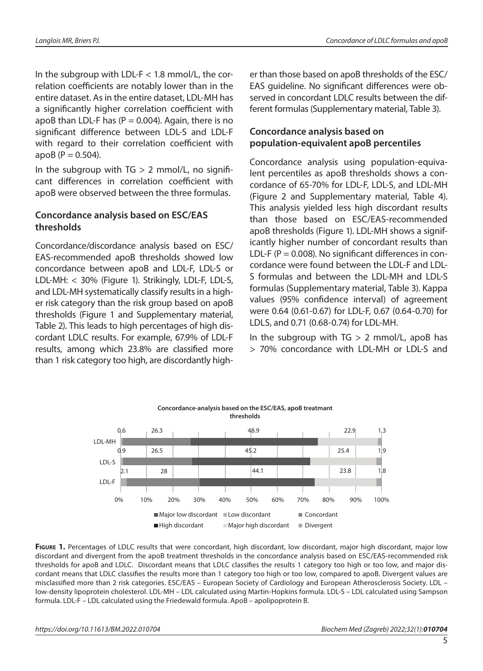In the subgroup with LDL- $F < 1.8$  mmol/L, the correlation coefficients are notably lower than in the entire dataset. As in the entire dataset, LDL-MH has a significantly higher correlation coefficient with apoB than LDL-F has  $(P = 0.004)$ . Again, there is no significant difference between LDL-S and LDL-F with regard to their correlation coefficient with  $apoB (P = 0.504)$ .

In the subgroup with  $TG > 2$  mmol/L, no significant differences in correlation coefficient with apoB were observed between the three formulas.

#### **Concordance analysis based on ESC/EAS thresholds**

Concordance/discordance analysis based on ESC/ EAS-recommended apoB thresholds showed low concordance between apoB and LDL-F, LDL-S or LDL-MH: < 30% (Figure 1). Strikingly, LDL-F, LDL-S, and LDL-MH systematically classify results in a higher risk category than the risk group based on apoB thresholds (Figure 1 and [Supplementary material,](https://www.biochemia-medica.com/assets/images/upload/Clanci/31/Supplementary_files/32_1/BM32_1_010704_Supplementary_material.pdf)  [Table 2](https://www.biochemia-medica.com/assets/images/upload/Clanci/31/Supplementary_files/32_1/BM32_1_010704_Supplementary_material.pdf)). This leads to high percentages of high discordant LDLC results. For example, 67.9% of LDL-F results, among which 23.8% are classified more than 1 risk category too high, are discordantly higher than those based on apoB thresholds of the ESC/ EAS guideline. No significant differences were observed in concordant LDLC results between the different formulas [\(Supplementary material, Table 3\).](https://www.biochemia-medica.com/assets/images/upload/Clanci/31/Supplementary_files/32_1/BM32_1_010704_Supplementary_material.pdf)

### **Concordance analysis based on population-equivalent apoB percentiles**

Concordance analysis using population-equivalent percentiles as apoB thresholds shows a concordance of 65-70% for LDL-F, LDL-S, and LDL-MH (Figure 2 and [Supplementary material, Table 4](https://www.biochemia-medica.com/assets/images/upload/Clanci/31/Supplementary_files/32_1/BM32_1_010704_Supplementary_material.pdf)). This analysis yielded less high discordant results than those based on ESC/EAS-recommended apoB thresholds (Figure 1). LDL-MH shows a significantly higher number of concordant results than LDL-F ( $P = 0.008$ ). No significant differences in concordance were found between the LDL-F and LDL-S formulas and between the LDL-MH and LDL-S formulas ([Supplementary material, Table 3](https://www.biochemia-medica.com/assets/images/upload/Clanci/31/Supplementary_files/32_1/BM32_1_010704_Supplementary_material.pdf)). Kappa values (95% confidence interval) of agreement were 0.64 (0.61-0.67) for LDL-F, 0.67 (0.64-0.70) for LDLS, and 0.71 (0.68-0.74) for LDL-MH.

In the subgroup with  $TG > 2$  mmol/L, apoB has > 70% concordance with LDL-MH or LDL-S and



**FIGURE 1.** Percentages of LDLC results that were concordant, high discordant, low discordant, major high discordant, major low discordant and divergent from the apoB treatment thresholds in the concordance analysis based on ESC/EAS-recommended risk thresholds for apoB and LDLC. Discordant means that LDLC classifies the results 1 category too high or too low, and major discordant means that LDLC classifies the results more than 1 category too high or too low, compared to apoB. Divergent values are misclassified more than 2 risk categories. ESC/EAS – European Society of Cardiology and European Atherosclerosis Society. LDL – low-density lipoprotein cholesterol. LDL-MH – LDL calculated using Martin-Hopkins formula. LDL-S – LDL calculated using Sampson formula. LDL-F – LDL calculated using the Friedewald formula. ApoB – apolipoprotein B.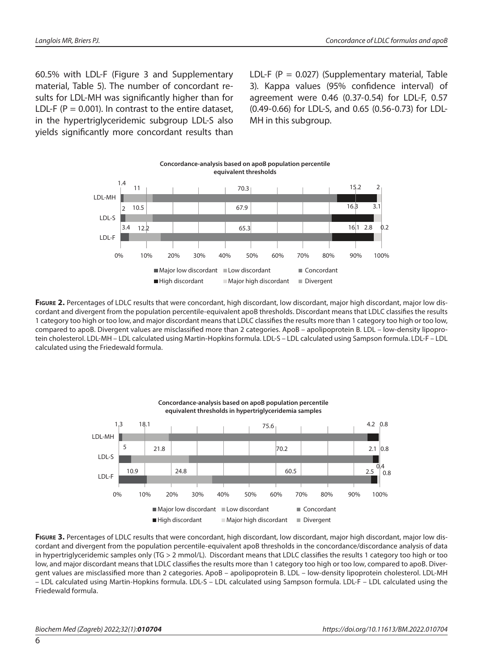60.5% with LDL-F (Figure 3 and [Supplementary](https://www.biochemia-medica.com/assets/images/upload/Clanci/31/Supplementary_files/32_1/BM32_1_010704_Supplementary_material.pdf)  [material, Table 5](https://www.biochemia-medica.com/assets/images/upload/Clanci/31/Supplementary_files/32_1/BM32_1_010704_Supplementary_material.pdf)). The number of concordant results for LDL-MH was significantly higher than for LDL-F ( $P = 0.001$ ). In contrast to the entire dataset, in the hypertriglyceridemic subgroup LDL-S also yields significantly more concordant results than

LDL-F ( $P = 0.027$ ) (Supplementary material, Table [3\)](https://www.biochemia-medica.com/assets/images/upload/Clanci/31/Supplementary_files/32_1/BM32_1_010704_Supplementary_material.pdf). Kappa values (95% confidence interval) of agreement were 0.46 (0.37-0.54) for LDL-F, 0.57 (0.49-0.66) for LDL-S, and 0.65 (0.56-0.73) for LDL-MH in this subgroup.



Figure 2. Percentages of LDLC results that were concordant, high discordant, low discordant, major high discordant, major low discordant and divergent from the population percentile-equivalent apoB thresholds. Discordant means that LDLC classifies the results 1 category too high or too low, and major discordant means that LDLC classifies the results more than 1 category too high or too low, compared to apoB. Divergent values are misclassified more than 2 categories. ApoB – apolipoprotein B. LDL – low-density lipoprotein cholesterol. LDL-MH – LDL calculated using Martin-Hopkins formula. LDL-S – LDL calculated using Sampson formula. LDL-F – LDL calculated using the Friedewald formula.



FIGURE 3. Percentages of LDLC results that were concordant, high discordant, low discordant, major high discordant, major low discordant and divergent from the population percentile-equivalent apoB thresholds in the concordance/discordance analysis of data in hypertriglyceridemic samples only (TG > 2 mmol/L). Discordant means that LDLC classifies the results 1 category too high or too low, and major discordant means that LDLC classifies the results more than 1 category too high or too low, compared to apoB. Divergent values are misclassified more than 2 categories. ApoB – apolipoprotein B. LDL – low-density lipoprotein cholesterol. LDL-MH – LDL calculated using Martin-Hopkins formula. LDL-S – LDL calculated using Sampson formula. LDL-F – LDL calculated using the Friedewald formula.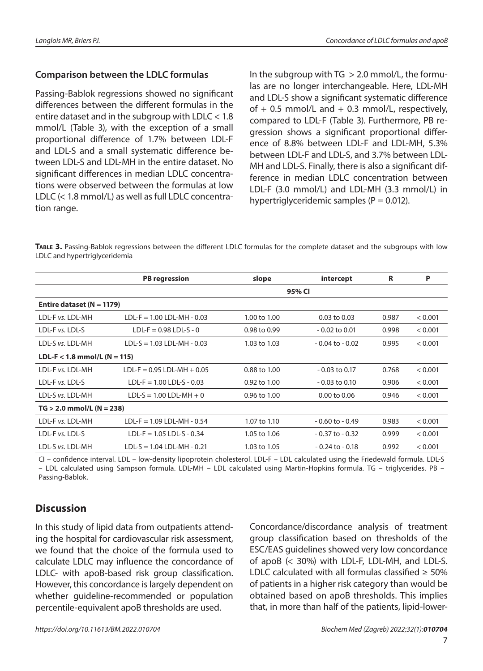#### **Comparison between the LDLC formulas**

Passing-Bablok regressions showed no significant differences between the different formulas in the entire dataset and in the subgroup with LDLC < 1.8 mmol/L (Table 3), with the exception of a small proportional difference of 1.7% between LDL-F and LDL-S and a small systematic difference between LDL-S and LDL-MH in the entire dataset. No significant differences in median LDLC concentrations were observed between the formulas at low LDLC (< 1.8 mmol/L) as well as full LDLC concentration range.

In the subgroup with  $TG > 2.0$  mmol/L, the formulas are no longer interchangeable. Here, LDL-MH and LDL-S show a significant systematic difference of  $+$  0.5 mmol/L and  $+$  0.3 mmol/L, respectively, compared to LDL-F (Table 3). Furthermore, PB regression shows a significant proportional difference of 8.8% between LDL-F and LDL-MH, 5.3% between LDL-F and LDL-S, and 3.7% between LDL-MH and LDL-S. Finally, there is also a significant difference in median LDLC concentration between LDL-F (3.0 mmol/L) and LDL-MH (3.3 mmol/L) in hypertriglyceridemic samples ( $P = 0.012$ ).

**Table 3.** Passing-Bablok regressions between the different LDLC formulas for the complete dataset and the subgroups with low LDLC and hypertriglyceridemia

|                                | <b>PB</b> regression           | slope        | intercept          | R     | P       |  |  |  |
|--------------------------------|--------------------------------|--------------|--------------------|-------|---------|--|--|--|
|                                | 95% CI                         |              |                    |       |         |  |  |  |
| Entire dataset ( $N = 1179$ )  |                                |              |                    |       |         |  |  |  |
| LDL-F vs. LDL-MH               | $LDL-F = 1.00LDL-MH - 0.03$    | 1.00 to 1.00 | $0.03$ to $0.03$   | 0.987 | < 0.001 |  |  |  |
| LDL-F vs. LDL-S                | $LDL-F = 0.98 LDL-S - 0$       | 0.98 to 0.99 | $-0.02$ to $0.01$  | 0.998 | < 0.001 |  |  |  |
| LDL-S vs. LDL-MH               | $LDL-S = 1.03 LDL-MH - 0.03$   | 1.03 to 1.03 | $-0.04$ to $-0.02$ | 0.995 | < 0.001 |  |  |  |
| $LDL-F < 1.8$ mmol/L (N = 115) |                                |              |                    |       |         |  |  |  |
| LDL-F vs. LDL-MH               | $LDL-F = 0.95 LDL-MH + 0.05$   | 0.88 to 1.00 | $-0.03$ to 0.17    | 0.768 | < 0.001 |  |  |  |
| LDL-F vs. LDL-S                | $LDL-F = 1.00LDL-S - 0.03$     | 0.92 to 1.00 | $-0.03$ to $0.10$  | 0.906 | < 0.001 |  |  |  |
| LDL-S vs. LDL-MH               | $LDL-S = 1.00$ $LDL-MH + 0$    | 0.96 to 1.00 | 0.00 to 0.06       | 0.946 | < 0.001 |  |  |  |
| $TG > 2.0$ mmol/L (N = 238)    |                                |              |                    |       |         |  |  |  |
| LDL-F vs. LDL-MH               | $LDL-F = 1.09$ $LDL-MH - 0.54$ | 1.07 to 1.10 | $-0.60$ to $-0.49$ | 0.983 | < 0.001 |  |  |  |
| LDL-F vs. LDL-S                | $LDL-F = 1.05LDL-S - 0.34$     | 1.05 to 1.06 | $-0.37$ to $-0.32$ | 0.999 | < 0.001 |  |  |  |
| LDL-S vs. LDL-MH               | $LDL-S = 1.04$ $LDL-MH - 0.21$ | 1.03 to 1.05 | $-0.24$ to $-0.18$ | 0.992 | < 0.001 |  |  |  |

CI – confidence interval. LDL – low-density lipoprotein cholesterol. LDL-F – LDL calculated using the Friedewald formula. LDL-S – LDL calculated using Sampson formula. LDL-MH – LDL calculated using Martin-Hopkins formula. TG – triglycerides. PB – Passing-Bablok.

## **Discussion**

In this study of lipid data from outpatients attending the hospital for cardiovascular risk assessment, we found that the choice of the formula used to calculate LDLC may influence the concordance of LDLC- with apoB-based risk group classification. However, this concordance is largely dependent on whether guideline-recommended or population percentile-equivalent apoB thresholds are used.

Concordance/discordance analysis of treatment group classification based on thresholds of the ESC/EAS guidelines showed very low concordance of apoB (< 30%) with LDL-F, LDL-MH, and LDL-S. LDLC calculated with all formulas classified  $\geq 50\%$ of patients in a higher risk category than would be obtained based on apoB thresholds. This implies that, in more than half of the patients, lipid-lower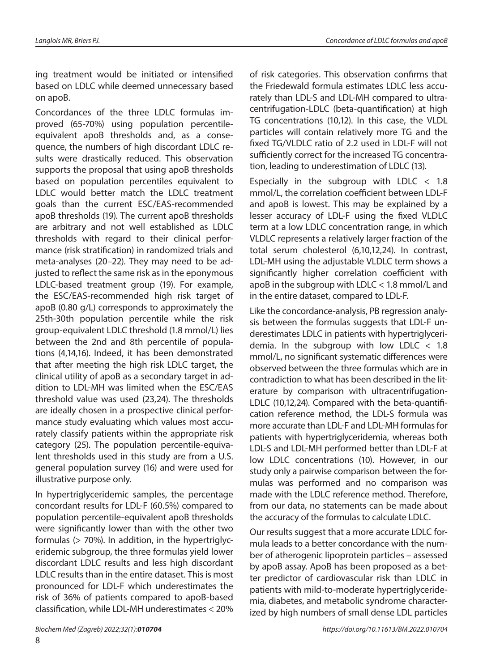ing treatment would be initiated or intensified based on LDLC while deemed unnecessary based on apoB.

Concordances of the three LDLC formulas improved (65-70%) using population percentileequivalent apoB thresholds and, as a consequence, the numbers of high discordant LDLC results were drastically reduced. This observation supports the proposal that using apoB thresholds based on population percentiles equivalent to LDLC would better match the LDLC treatment goals than the current ESC/EAS-recommended apoB thresholds (19). The current apoB thresholds are arbitrary and not well established as LDLC thresholds with regard to their clinical performance (risk stratification) in randomized trials and meta-analyses (20–22). They may need to be adjusted to reflect the same risk as in the eponymous LDLC-based treatment group (19). For example, the ESC/EAS-recommended high risk target of apoB (0.80 g/L) corresponds to approximately the 25th-30th population percentile while the risk group-equivalent LDLC threshold (1.8 mmol/L) lies between the 2nd and 8th percentile of populations (4,14,16). Indeed, it has been demonstrated that after meeting the high risk LDLC target, the clinical utility of apoB as a secondary target in addition to LDL-MH was limited when the ESC/EAS threshold value was used (23,24). The thresholds are ideally chosen in a prospective clinical performance study evaluating which values most accurately classify patients within the appropriate risk category (25). The population percentile-equivalent thresholds used in this study are from a U.S. general population survey (16) and were used for illustrative purpose only.

In hypertriglyceridemic samples, the percentage concordant results for LDL-F (60.5%) compared to population percentile-equivalent apoB thresholds were significantly lower than with the other two formulas (> 70%). In addition, in the hypertriglyceridemic subgroup, the three formulas yield lower discordant LDLC results and less high discordant LDLC results than in the entire dataset. This is most pronounced for LDL-F which underestimates the risk of 36% of patients compared to apoB-based classification, while LDL-MH underestimates < 20%

of risk categories. This observation confirms that the Friedewald formula estimates LDLC less accurately than LDL-S and LDL-MH compared to ultracentrifugation-LDLC (beta-quantification) at high TG concentrations (10,12). In this case, the VLDL particles will contain relatively more TG and the fixed TG/VLDLC ratio of 2.2 used in LDL-F will not sufficiently correct for the increased TG concentration, leading to underestimation of LDLC (13).

Especially in the subgroup with LDLC  $<$  1.8 mmol/L, the correlation coefficient between LDL-F and apoB is lowest. This may be explained by a lesser accuracy of LDL-F using the fixed VLDLC term at a low LDLC concentration range, in which VLDLC represents a relatively larger fraction of the total serum cholesterol (6,10,12,24). In contrast, LDL-MH using the adjustable VLDLC term shows a significantly higher correlation coefficient with apoB in the subgroup with LDLC < 1.8 mmol/L and in the entire dataset, compared to LDL-F.

Like the concordance-analysis, PB regression analysis between the formulas suggests that LDL-F underestimates LDLC in patients with hypertriglyceridemia. In the subgroup with low LDLC < 1.8 mmol/L, no significant systematic differences were observed between the three formulas which are in contradiction to what has been described in the literature by comparison with ultracentrifugation-LDLC (10,12,24). Compared with the beta-quantification reference method, the LDL-S formula was more accurate than LDL-F and LDL-MH formulas for patients with hypertriglyceridemia, whereas both LDL-S and LDL-MH performed better than LDL-F at low LDLC concentrations (10). However, in our study only a pairwise comparison between the formulas was performed and no comparison was made with the LDLC reference method. Therefore, from our data, no statements can be made about the accuracy of the formulas to calculate LDLC.

Our results suggest that a more accurate LDLC formula leads to a better concordance with the number of atherogenic lipoprotein particles – assessed by apoB assay. ApoB has been proposed as a better predictor of cardiovascular risk than LDLC in patients with mild-to-moderate hypertriglyceridemia, diabetes, and metabolic syndrome characterized by high numbers of small dense LDL particles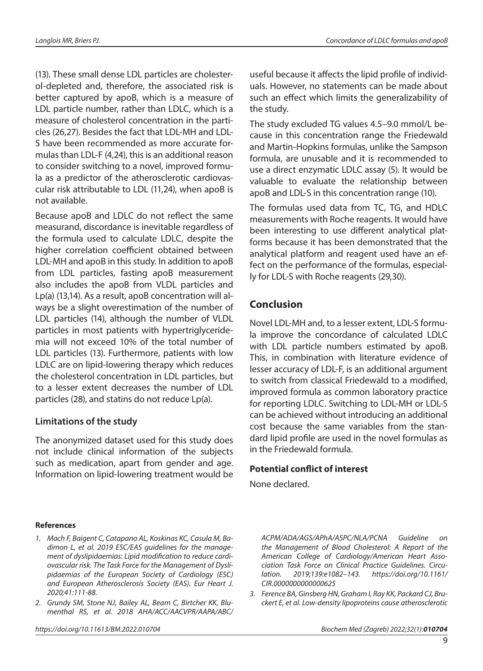(13). These small dense LDL particles are cholesterol-depleted and, therefore, the associated risk is better captured by apoB, which is a measure of LDL particle number, rather than LDLC, which is a measure of cholesterol concentration in the particles (26,27). Besides the fact that LDL-MH and LDL-S have been recommended as more accurate formulas than LDL-F (4,24), this is an additional reason to consider switching to a novel, improved formula as a predictor of the atherosclerotic cardiovascular risk attributable to LDL (11,24), when apoB is not available.

Because apoB and LDLC do not reflect the same measurand, discordance is inevitable regardless of the formula used to calculate LDLC, despite the higher correlation coefficient obtained between LDL-MH and apoB in this study. In addition to apoB from LDL particles, fasting apoB measurement also includes the apoB from VLDL particles and Lp(a) (13,14). As a result, apoB concentration will always be a slight overestimation of the number of LDL particles (14), although the number of VLDL particles in most patients with hypertriglyceridemia will not exceed 10% of the total number of LDL particles (13). Furthermore, patients with low LDLC are on lipid-lowering therapy which reduces the cholesterol concentration in LDL particles, but to a lesser extent decreases the number of LDL particles (28), and statins do not reduce Lp(a).

### **Limitations of the study**

The anonymized dataset used for this study does not include clinical information of the subjects such as medication, apart from gender and age. Information on lipid-lowering treatment would be useful because it affects the lipid profile of individuals. However, no statements can be made about such an effect which limits the generalizability of the study.

The study excluded TG values 4.5–9.0 mmol/L because in this concentration range the Friedewald and Martin-Hopkins formulas, unlike the Sampson formula, are unusable and it is recommended to use a direct enzymatic LDLC assay (5). It would be valuable to evaluate the relationship between apoB and LDL-S in this concentration range (10).

The formulas used data from TC, TG, and HDLC measurements with Roche reagents. It would have been interesting to use different analytical platforms because it has been demonstrated that the analytical platform and reagent used have an effect on the performance of the formulas, especially for LDL-S with Roche reagents (29,30).

## **Conclusion**

Novel LDL-MH and, to a lesser extent, LDL-S formula improve the concordance of calculated LDLC with LDL particle numbers estimated by apoB. This, in combination with literature evidence of lesser accuracy of LDL-F, is an additional argument to switch from classical Friedewald to a modified, improved formula as common laboratory practice for reporting LDLC. Switching to LDL-MH or LDL-S can be achieved without introducing an additional cost because the same variables from the standard lipid profile are used in the novel formulas as in the Friedewald formula.

#### **Potential conflict of interest**

None declared.

#### **References**

- *1. Mach F, Baigent C, Catapano AL, Koskinas KC, Casula M, Badimon L, et al. 2019 ESC/EAS guidelines for the management of dyslipidaemias: Lipid modification to reduce cardiovascular risk. The Task Force for the Management of Dyslipidaemias of the European Society of Cardiology (ESC) and European Atherosclerosis Society (EAS). Eur Heart J. 2020;41:111-88.*
- *2. Grundy SM, Stone NJ, Bailey AL, Beam C, Birtcher KK, Blumenthal RS, et al. 2018 AHA/ACC/AACVPR/AAPA/ABC/*

*ACPM/ADA/AGS/APhA/ASPC/NLA/PCNA Guideline on the Management of Blood Cholesterol: A Report of the American College of Cardiology/American Heart Association Task Force on Clinical Practice Guidelines. Circulation. 2019;139:e1082–143. [https://doi.org/10.1161/](https://doi.org/10.1161/CIR.0000000000000625) [CIR.0000000000000625](https://doi.org/10.1161/CIR.0000000000000625)*

*3. Ference BA, Ginsberg HN, Graham I, Ray KK, Packard CJ, Bruckert E, et al. Low-density lipoproteins cause atherosclerotic*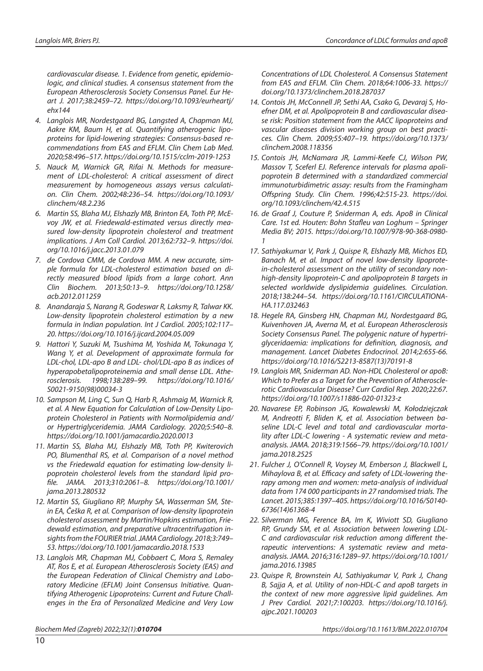*cardiovascular disease. 1. Evidence from genetic, epidemiologic, and clinical studies. A consensus statement from the European Atherosclerosis Society Consensus Panel. Eur Heart J. 2017;38:2459–72. [https://doi.org/10.1093/eurheartj/](https://doi.org/10.1093/eurheartj/ehx144) [ehx144](https://doi.org/10.1093/eurheartj/ehx144)* 

- *4. Langlois MR, Nordestgaard BG, Langsted A, Chapman MJ, Aakre KM, Baum H, et al. Quantifying atherogenic lipoproteins for lipid-lowering strategies: Consensus-based recommendations from EAS and EFLM. Clin Chem Lab Med. 2020;58:496–517.<https://doi.org/10.1515/cclm-2019-1253>*
- *5. Nauck M, Warnick GR, Rifai N. Methods for measurement of LDL-cholesterol: A critical assessment of direct measurement by homogeneous assays versus calculation. Clin Chem. 2002;48:236–54. [https://doi.org/10.1093/](https://doi.org/10.1093/clinchem/48.2.236) [clinchem/48.2.236](https://doi.org/10.1093/clinchem/48.2.236)*
- *6. Martin SS, Blaha MJ, Elshazly MB, Brinton EA, Toth PP, McEvoy JW, et al. Friedewald-estimated versus directly measured low-density lipoprotein cholesterol and treatment implications. J Am Coll Cardiol. 2013;62:732–9. [https://doi.](https://doi.org/10.1016/j.jacc.2013.01.079) [org/10.1016/j.jacc.2013.01.079](https://doi.org/10.1016/j.jacc.2013.01.079)*
- *7. de Cordova CMM, de Cordova MM. A new accurate, simple formula for LDL-cholesterol estimation based on directly measured blood lipids from a large cohort. Ann Clin Biochem. 2013;50:13–9. [https://doi.org/10.1258/](https://doi.org/10.1258/acb.2012.011259) [acb.2012.011259](https://doi.org/10.1258/acb.2012.011259)*
- *8. Anandaraja S, Narang R, Godeswar R, Laksmy R, Talwar KK. Low-density lipoprotein cholesterol estimation by a new formula in Indian population. Int J Cardiol. 2005;102:117– 20. <https://doi.org/10.1016/j.ijcard.2004.05.009>*
- *9. Hattori Y, Suzuki M, Tsushima M, Yoshida M, Tokunaga Y, Wang Y, et al. Development of approximate formula for LDL-chol, LDL-apo B and LDL- chol/LDL-apo B as indices of hyperapobetalipoproteinemia and small dense LDL. Atherosclerosis. 1998;138:289–99. [https://doi.org/](https://doi.org/10.1016/s0021-9150(98)00034-3)10.1016/ S0021-9150(98)00034-3*
- *10. Sampson M, Ling C, Sun Q, Harb R, Ashmaig M, Warnick R, et al. A New Equation for Calculation of Low-Density Lipoprotein Cholesterol in Patients with Normolipidemia and/ or Hypertriglyceridemia. JAMA Cardiology. 2020;5:540–8. <https://doi.org/10.1001/jamacardio.2020.0013>*
- *11. Martin SS, Blaha MJ, Elshazly MB, Toth PP, Kwiterovich PO, Blumenthal RS, et al. Comparison of a novel method vs the Friedewald equation for estimating low-density lipoprotein cholesterol levels from the standard lipid profile. JAMA. 2013;310:2061–8. [https://doi.org/10.1001/](https://doi.org/10.1001/jama.2013.280532) [jama.2013.280532](https://doi.org/10.1001/jama.2013.280532)*
- *12. Martin SS, Giugliano RP, Murphy SA, Wasserman SM, Stein EA, Češka R, et al. Comparison of low-density lipoprotein cholesterol assessment by Martin/Hopkins estimation, Friedewald estimation, and preparative ultracentrifugation insights from the FOURIER trial. JAMA Cardiology. 2018;3:749– 53. <https://doi.org/10.1001/jamacardio.2018.1533>*
- *13. Langlois MR, Chapman MJ, Cobbaert C, Mora S, Remaley AT, Ros E, et al. European Atherosclerosis Society (EAS) and the European Federation of Clinical Chemistry and Laboratory Medicine (EFLM) Joint Consensus Initiative. Quantifying Atherogenic Lipoproteins: Current and Future Challenges in the Era of Personalized Medicine and Very Low*

*Concentrations of LDL Cholesterol. A Consensus Statement from EAS and EFLM. Clin Chem. 2018;64:1006-33. [https://](https://doi.org/10.1373/clinchem.2018.287037) [doi.org/10.1373/clinchem.2018.287037](https://doi.org/10.1373/clinchem.2018.287037)* 

- *14. Contois JH, McConnell JP, Sethi AA, Csako G, Devaraj S, Hoefner DM, et al. Apolipoprotein B and cardiovascular disease risk: Position statement from the AACC lipoproteins and vascular diseases division working group on best practices. Clin Chem. 2009;55:407–19. [https://doi.org/10.1373/](https://doi.org/10.1373/clinchem.2008.118356) [clinchem.2008.118356](https://doi.org/10.1373/clinchem.2008.118356)*
- *15. Contois JH, McNamara JR, Lammi-Keefe CJ, Wilson PW, Massov T, Sceferl EJ. Reference intervals for plasma apolipoprotein B determined with a standardized commercial immunoturbidimetric assay: results from the Framingham Offspring Study. Clin Chem. 1996;42:515-23. [https://doi.](https://doi.org/10.1093/clinchem/42.4.515) [org/10.1093/clinchem/42.4.515](https://doi.org/10.1093/clinchem/42.4.515)*
- *16. de Graaf J, Couture P, Sniderman A, eds. ApoB in Clinical Care. 1st ed. Houten: Bohn Stafleu van Loghum – Springer Media BV; 2015. [https://doi.org/10.1007/978-90-368-0980-](https://doi.org/10.1007/978-90-368-0980-1) [1](https://doi.org/10.1007/978-90-368-0980-1)*
- *17. Sathiyakumar V, Park J, Quispe R, Elshazly MB, Michos ED, Banach M, et al. Impact of novel low-density lipoprotein-cholesterol assessment on the utility of secondary nonhigh-density lipoprotein-C and apolipoprotein B targets in selected worldwide dyslipidemia guidelines. Circulation. 2018;138:244–54. [https://doi.org/](https://doi.org/10.1161/circulationaha.117.032463)10.1161/CIRCULATIONA-HA.117.032463*
- *18. Hegele RA, Ginsberg HN, Chapman MJ, Nordestgaard BG, Kuivenhoven JA, Averna M, et al. European Atherosclerosis Society Consensus Panel. The polygenic nature of hypertriglyceridaemia: implications for definition, diagnosis, and management. Lancet Diabetes Endocrinol. 2014;2:655-66. [https://doi.org/](https://doi.org/10.1016/s2213-8587(13)70191-8)10.1016/S2213-8587(13)70191-8*
- *19. Langlois MR, Sniderman AD. Non-HDL Cholesterol or apoB: Which to Prefer as a Target for the Prevention of Atherosclerotic Cardiovascular Disease? Curr Cardiol Rep. 2020;22:67. <https://doi.org/10.1007/s11886-020-01323-z>*
- *20. Navarese EP, Robinson JG, Kowalewski M, Kołodziejczak M, Andreotti F, Bliden K, et al. Association between baseline LDL-C level and total and cardiovascular mortality after LDL-C lowering - A systematic review and metaanalysis. JAMA. 2018;319:1566–79. [https://doi.org/10.1001/](https://doi.org/10.1001/jama.2018.2525) [jama.2018.2525](https://doi.org/10.1001/jama.2018.2525)*
- *21. Fulcher J, O'Connell R, Voysey M, Emberson J, Blackwell L, Mihaylova B, et al. Efficacy and safety of LDL-lowering therapy among men and women: meta-analysis of individual data from 174 000 participants in 27 randomised trials. The Lancet. 2015;385:1397–405. [https://doi.org/](https://doi.org/10.1016/s0140-6736(14)61368-4)10.1016/S0140- 6736(14)61368-4*
- *22. Silverman MG, Ference BA, Im K, Wiviott SD, Giugliano RP, Grundy SM, et al. Association between lowering LDL-C and cardiovascular risk reduction among different therapeutic interventions: A systematic review and metaanalysis. JAMA. 2016;316:1289–97. [https://doi.org/10.1001/](https://doi.org/10.1001/jama.2016.13985) [jama.2016.13985](https://doi.org/10.1001/jama.2016.13985)*
- *23. Quispe R, Brownstein AJ, Sathiyakumar V, Park J, Chang B, Sajja A, et al. Utility of non-HDL-C and apoB targets in the context of new more aggressive lipid guidelines. Am J Prev Cardiol. 2021;7:100203. [https://doi.org/10.1016/j.](https://doi.org/10.1016/j.ajpc.2021.100203) [ajpc.2021.100203](https://doi.org/10.1016/j.ajpc.2021.100203)*